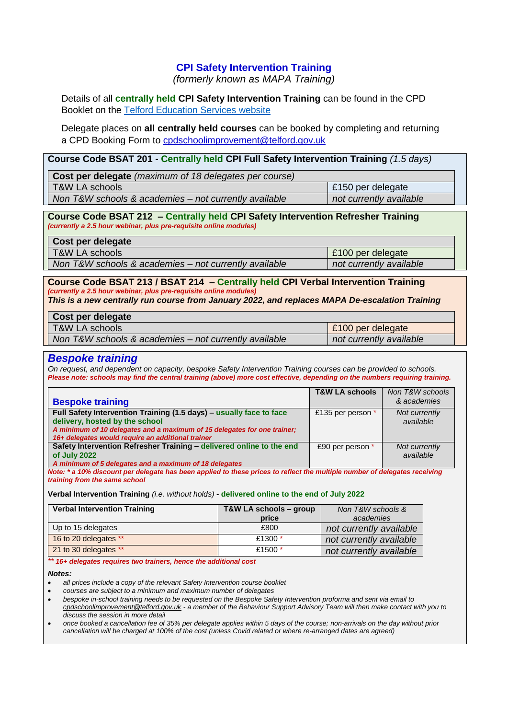# **CPI Safety Intervention Training**

*(formerly known as MAPA Training)*

Details of all **centrally held CPI Safety Intervention Training** can be found in the CPD Booklet on the [Telford Education Services website](http://www.telfordeducationservices.co.uk/school-performance-team/schoolperformancedocs) 

Delegate places on **all centrally held courses** can be booked by completing and returning a CPD Booking Form to [cpdschoolimprovement@telford.gov.uk](mailto:cpdschoolimprovement@telford.gov.uk)

#### **Course Code BSAT 201 - Centrally held CPI Full Safety Intervention Training** *(1.5 days)*

| Cost per delegate (maximum of 18 delegates per course) |                         |
|--------------------------------------------------------|-------------------------|
| T&W LA schools                                         | £150 per delegate       |
| Non T&W schools & academies - not currently available  | not currently available |

#### **Course Code BSAT 212 – Centrally held CPI Safety Intervention Refresher Training** *(currently a 2.5 hour webinar, plus pre-requisite online modules)*

| Cost per delegate                                     |                         |
|-------------------------------------------------------|-------------------------|
| T&W LA schools                                        | £100 per delegate       |
| Non T&W schools & academies – not currently available | not currently available |

## **Course Code BSAT 213 / BSAT 214 – Centrally held CPI Verbal Intervention Training**  *(currently a 2.5 hour webinar, plus pre-requisite online modules)*

*This is a new centrally run course from January 2022, and replaces MAPA De-escalation Training*

| Cost per delegate                                     |                         |
|-------------------------------------------------------|-------------------------|
| T&W LA schools                                        | £100 per delegate       |
| Non T&W schools & academies – not currently available | not currently available |

### *Bespoke training*

*On request, and dependent on capacity, bespoke Safety Intervention Training courses can be provided to schools. Please note: schools may find the central training (above) more cost effective, depending on the numbers requiring training.*

|                                                                          | <b>T&amp;W LA schools</b> | Non T&W schools |
|--------------------------------------------------------------------------|---------------------------|-----------------|
| <b>Bespoke training</b>                                                  |                           | & academies     |
| Full Safety Intervention Training (1.5 days) - usually face to face      | £135 per person *         | Not currently   |
| delivery, hosted by the school                                           |                           | available       |
| A minimum of 10 delegates and a maximum of 15 delegates for one trainer; |                           |                 |
| 16+ delegates would require an additional trainer                        |                           |                 |
| Safety Intervention Refresher Training - delivered online to the end     | £90 per person *          | Not currently   |
| of July 2022                                                             |                           | available       |
| A minimum of 5 delegates and a maximum of 18 delegates                   |                           |                 |

*Note: \* a 10% discount per delegate has been applied to these prices to reflect the multiple number of delegates receiving training from the same school*

**Verbal Intervention Training** *(i.e. without holds) -* **delivered online to the end of July 2022**

| <b>Verbal Intervention Training</b> | T&W LA schools – group | Non T&W schools &       |
|-------------------------------------|------------------------|-------------------------|
|                                     | price                  | academies               |
| Up to 15 delegates                  | £800                   | not currently available |
| 16 to 20 delegates **               | £1300 $*$              | not currently available |
| 21 to 30 delegates **               | £1500 $*$              | not currently available |

#### *\*\* 16+ delegates requires two trainers, hence the additional cost*

#### *Notes:*

*all prices include a copy of the relevant Safety Intervention course booklet*

*courses are subject to a minimum and maximum number of delegates*

 *bespoke in-school training needs to be requested on the Bespoke Safety Intervention proforma and sent via email to [cpdschoolimprovement@telford.gov.uk](mailto:cpdschoolimprovement@telford.gov.uk) - a member of the Behaviour Support Advisory Team will then make contact with you to discuss the session in more detail*

 *once booked a cancellation fee of 35% per delegate applies within 5 days of the course; non-arrivals on the day without prior cancellation will be charged at 100% of the cost (unless Covid related or where re-arranged dates are agreed)*